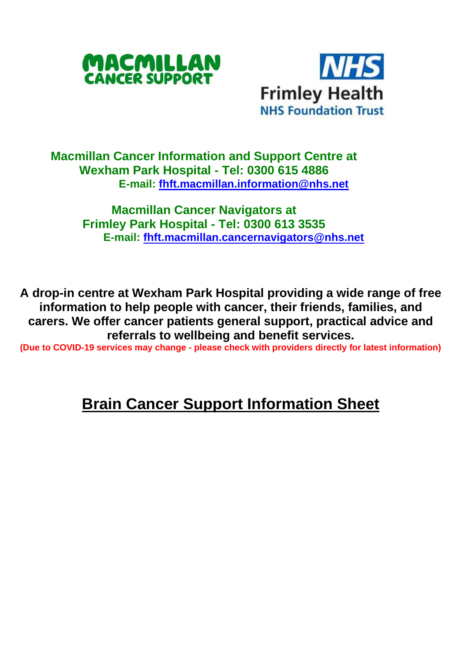



## **Macmillan Cancer Information and Support Centre at Wexham Park Hospital - Tel: 0300 615 4886 E-mail: [fhft.macmillan.information@nhs.net](mailto:fhft.macmillan.information@nhs.net)**

**Macmillan Cancer Navigators at Frimley Park Hospital - Tel: 0300 613 3535 E-mail: [fhft.macmillan.cancernavigators@nhs.net](mailto:fhft.macmillan.cancernavigators@nhs.net)**

**A drop-in centre at Wexham Park Hospital providing a wide range of free information to help people with cancer, their friends, families, and carers. We offer cancer patients general support, practical advice and referrals to wellbeing and benefit services.**

**(Due to COVID-19 services may change - please check with providers directly for latest information)** 

## **Brain Cancer Support Information Sheet**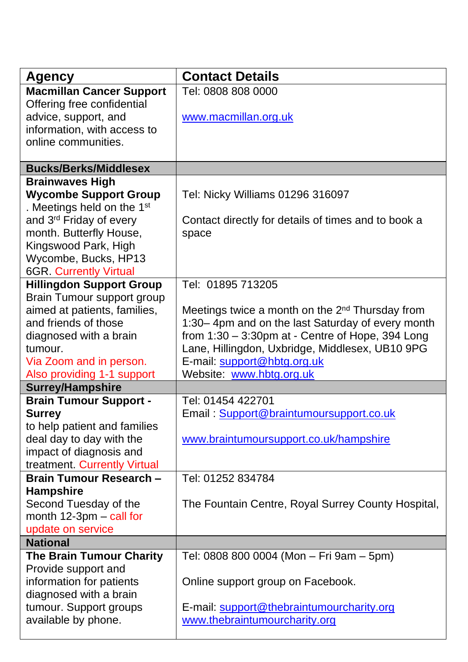| <b>Agency</b>                                       | <b>Contact Details</b>                                      |
|-----------------------------------------------------|-------------------------------------------------------------|
| <b>Macmillan Cancer Support</b>                     | Tel: 0808 808 0000                                          |
| Offering free confidential                          |                                                             |
| advice, support, and                                | www.macmillan.org.uk                                        |
| information, with access to                         |                                                             |
| online communities.                                 |                                                             |
|                                                     |                                                             |
| <b>Bucks/Berks/Middlesex</b>                        |                                                             |
| <b>Brainwaves High</b>                              |                                                             |
| <b>Wycombe Support Group</b>                        | Tel: Nicky Williams 01296 316097                            |
| . Meetings held on the 1 <sup>st</sup>              |                                                             |
| and 3rd Friday of every<br>month. Butterfly House,  | Contact directly for details of times and to book a         |
| Kingswood Park, High                                | space                                                       |
| Wycombe, Bucks, HP13                                |                                                             |
| <b>6GR. Currently Virtual</b>                       |                                                             |
| <b>Hillingdon Support Group</b>                     | Tel: 01895 713205                                           |
| Brain Tumour support group                          |                                                             |
| aimed at patients, families,                        | Meetings twice a month on the 2 <sup>nd</sup> Thursday from |
| and friends of those                                | 1:30-4pm and on the last Saturday of every month            |
| diagnosed with a brain                              | from $1:30 - 3:30$ pm at - Centre of Hope, 394 Long         |
| tumour.                                             | Lane, Hillingdon, Uxbridge, Middlesex, UB10 9PG             |
| Via Zoom and in person.                             | E-mail: support@hbtg.org.uk                                 |
| Also providing 1-1 support                          | Website: www.hbtg.org.uk                                    |
| <b>Surrey/Hampshire</b>                             |                                                             |
| <b>Brain Tumour Support -</b>                       | Tel: 01454 422701                                           |
| <b>Surrey</b>                                       | Email: Support@braintumoursupport.co.uk                     |
| to help patient and families                        |                                                             |
| deal day to day with the<br>impact of diagnosis and | www.braintumoursupport.co.uk/hampshire                      |
| treatment. Currently Virtual                        |                                                             |
| Brain Tumour Research -                             | Tel: 01252 834784                                           |
| Hampshire                                           |                                                             |
| Second Tuesday of the                               | The Fountain Centre, Royal Surrey County Hospital,          |
| month 12-3pm - call for                             |                                                             |
| update on service                                   |                                                             |
| <b>National</b>                                     |                                                             |
| The Brain Tumour Charity                            | Tel: 0808 800 0004 (Mon - Fri 9am - 5pm)                    |
| Provide support and                                 |                                                             |
| information for patients                            | Online support group on Facebook.                           |
| diagnosed with a brain                              |                                                             |
| tumour. Support groups                              | E-mail: support@thebraintumourcharity.org                   |
| available by phone.                                 | www.thebraintumourcharity.org                               |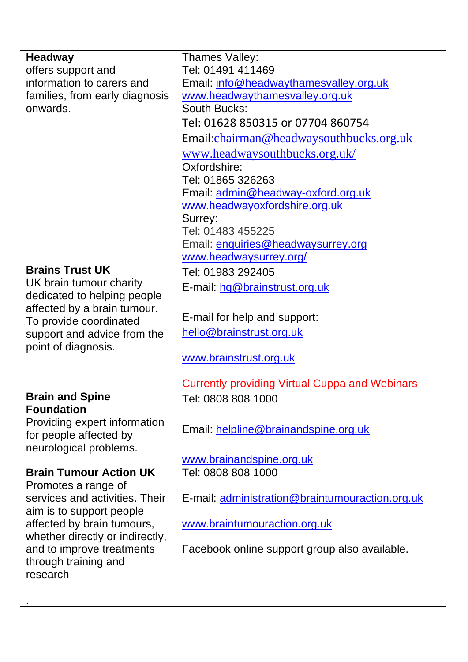| Headway                                                | Thames Valley:                                        |
|--------------------------------------------------------|-------------------------------------------------------|
| offers support and                                     | Tel: 01491 411469                                     |
| information to carers and                              | Email: info@headwaythamesvalley.org.uk                |
| families, from early diagnosis                         | www.headwaythamesvalley.org.uk                        |
| onwards.                                               | South Bucks:                                          |
|                                                        | Tel: 01628 850315 or 07704 860754                     |
|                                                        | Email:chairman@headwaysouthbucks.org.uk               |
|                                                        | www.headwaysouthbucks.org.uk/                         |
|                                                        | Oxfordshire:                                          |
|                                                        | Tel: 01865 326263                                     |
|                                                        | Email: admin@headway-oxford.org.uk                    |
|                                                        | www.headwayoxfordshire.org.uk                         |
|                                                        | Surrey:                                               |
|                                                        | Tel: 01483 455225                                     |
|                                                        | Email: enquiries@headwaysurrey.org                    |
|                                                        | www.headwaysurrey.org/                                |
| <b>Brains Trust UK</b>                                 | Tel: 01983 292405                                     |
| UK brain tumour charity<br>dedicated to helping people | E-mail: hq@brainstrust.org.uk                         |
| affected by a brain tumour.                            |                                                       |
| To provide coordinated                                 | E-mail for help and support:                          |
| support and advice from the                            | hello@brainstrust.org.uk                              |
| point of diagnosis.                                    |                                                       |
|                                                        | www.brainstrust.org.uk                                |
|                                                        |                                                       |
|                                                        | <b>Currently providing Virtual Cuppa and Webinars</b> |
| <b>Brain and Spine</b><br><b>Foundation</b>            | Tel: 0808 808 1000                                    |
|                                                        |                                                       |
| Providing expert information<br>for people affected by | Email: helpline@brainandspine.org.uk                  |
| neurological problems.                                 |                                                       |
|                                                        | www.brainandspine.org.uk                              |
| <b>Brain Tumour Action UK</b>                          | Tel: 0808 808 1000                                    |
| Promotes a range of                                    |                                                       |
| services and activities. Their                         | E-mail: administration@braintumouraction.org.uk       |
| aim is to support people                               |                                                       |
| affected by brain tumours,                             | www.braintumouraction.org.uk                          |
| whether directly or indirectly,                        |                                                       |
| and to improve treatments<br>through training and      | Facebook online support group also available.         |
| research                                               |                                                       |
|                                                        |                                                       |
|                                                        |                                                       |